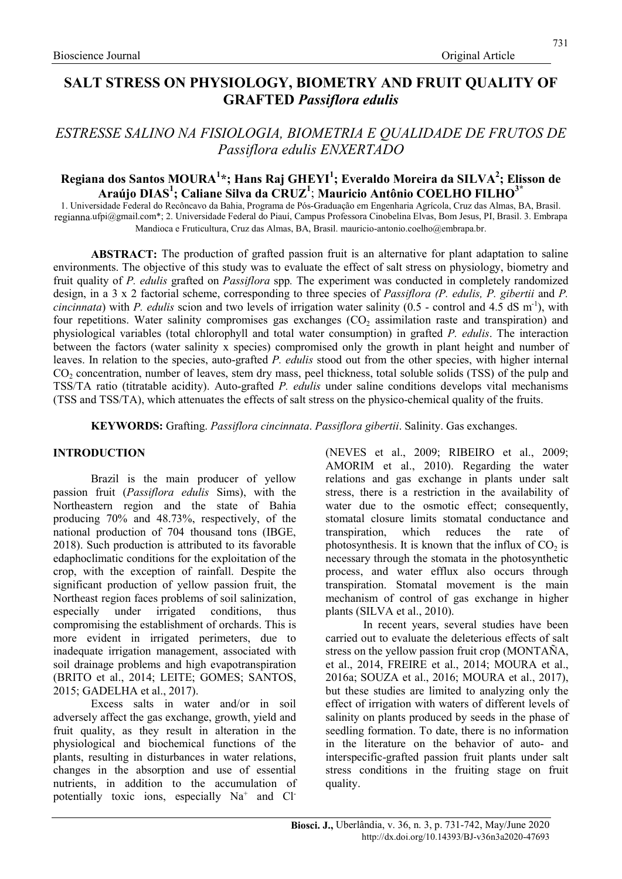# SALT STRESS ON PHYSIOLOGY, BIOMETRY AND FRUIT QUALITY OF GRAFTED Passiflora edulis

# ESTRESSE SALINO NA FISIOLOGIA, BIOMETRIA E QUALIDADE DE FRUTOS DE Passiflora edulis ENXERTADO

## Regiana dos Santos MOURA $^1\!$ ; Hans Raj GHEYI $^1$ ; Everaldo Moreira da SILVA $^2$ ; Elisson de Araújo DIAS $^{\rm l}$ ; Caliane Silva da CRUZ $^{\rm l}$ ; Mauricio Antônio COELHO FILHO $^{\rm 3^{\ast}}$

1. Universidade Federal do Recôncavo da Bahia, Programa de Pós-Graduação em Engenharia Agrícola, Cruz das Almas, BA, Brasil. regianna.ufpi@gmail.com\*; 2. Universidade Federal do Piauí, Campus Professora Cinobelina Elvas, Bom Jesus, PI, Brasil. 3. Embrapa Mandioca e Fruticultura, Cruz das Almas, BA, Brasil. mauricio-antonio.coelho@embrapa.br.

ABSTRACT: The production of grafted passion fruit is an alternative for plant adaptation to saline environments. The objective of this study was to evaluate the effect of salt stress on physiology, biometry and fruit quality of P. edulis grafted on Passiflora spp. The experiment was conducted in completely randomized design, in a 3 x 2 factorial scheme, corresponding to three species of Passiflora (P. edulis, P. gibertii and P. *cincinnata*) with P. edulis scion and two levels of irrigation water salinity  $(0.5$  - control and 4.5 dS m<sup>-1</sup>), with four repetitions. Water salinity compromises gas exchanges  $(CO<sub>2</sub>$  assimilation raste and transpiration) and physiological variables (total chlorophyll and total water consumption) in grafted P. edulis. The interaction between the factors (water salinity x species) compromised only the growth in plant height and number of leaves. In relation to the species, auto-grafted P. edulis stood out from the other species, with higher internal  $CO<sub>2</sub>$  concentration, number of leaves, stem dry mass, peel thickness, total soluble solids (TSS) of the pulp and TSS/TA ratio (titratable acidity). Auto-grafted P. edulis under saline conditions develops vital mechanisms (TSS and TSS/TA), which attenuates the effects of salt stress on the physico-chemical quality of the fruits.

KEYWORDS: Grafting. Passiflora cincinnata. Passiflora gibertii. Salinity. Gas exchanges.

#### INTRODUCTION

Brazil is the main producer of yellow passion fruit (Passiflora edulis Sims), with the Northeastern region and the state of Bahia producing 70% and 48.73%, respectively, of the national production of 704 thousand tons (IBGE, 2018). Such production is attributed to its favorable edaphoclimatic conditions for the exploitation of the crop, with the exception of rainfall. Despite the significant production of yellow passion fruit, the Northeast region faces problems of soil salinization, especially under irrigated conditions, thus compromising the establishment of orchards. This is more evident in irrigated perimeters, due to inadequate irrigation management, associated with soil drainage problems and high evapotranspiration (BRITO et al., 2014; LEITE; GOMES; SANTOS, 2015; GADELHA et al., 2017).

Excess salts in water and/or in soil adversely affect the gas exchange, growth, yield and fruit quality, as they result in alteration in the physiological and biochemical functions of the plants, resulting in disturbances in water relations, changes in the absorption and use of essential nutrients, in addition to the accumulation of potentially toxic ions, especially Na<sup>+</sup> and Cl<sup>-</sup> (NEVES et al., 2009; RIBEIRO et al., 2009; AMORIM et al., 2010). Regarding the water relations and gas exchange in plants under salt stress, there is a restriction in the availability of water due to the osmotic effect; consequently, stomatal closure limits stomatal conductance and transpiration, which reduces the rate of photosynthesis. It is known that the influx of  $CO<sub>2</sub>$  is necessary through the stomata in the photosynthetic process, and water efflux also occurs through transpiration. Stomatal movement is the main mechanism of control of gas exchange in higher plants (SILVA et al., 2010).

In recent years, several studies have been carried out to evaluate the deleterious effects of salt stress on the yellow passion fruit crop (MONTAÑA, et al., 2014, FREIRE et al., 2014; MOURA et al., 2016a; SOUZA et al., 2016; MOURA et al., 2017), but these studies are limited to analyzing only the effect of irrigation with waters of different levels of salinity on plants produced by seeds in the phase of seedling formation. To date, there is no information in the literature on the behavior of auto- and interspecific-grafted passion fruit plants under salt stress conditions in the fruiting stage on fruit quality.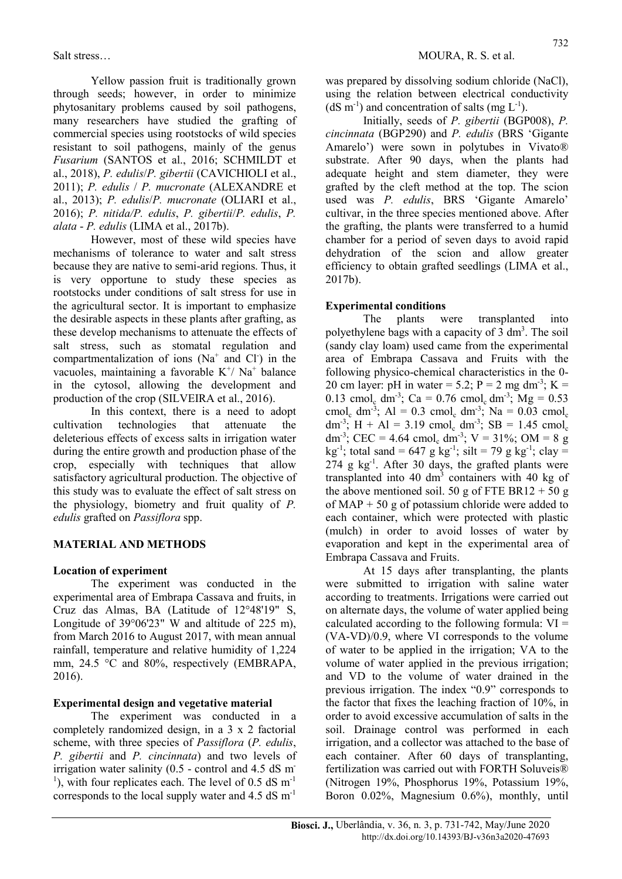Yellow passion fruit is traditionally grown through seeds; however, in order to minimize phytosanitary problems caused by soil pathogens, many researchers have studied the grafting of commercial species using rootstocks of wild species resistant to soil pathogens, mainly of the genus Fusarium (SANTOS et al., 2016; SCHMILDT et al., 2018), P. edulis/P. gibertii (CAVICHIOLI et al., 2011); P. edulis / P. mucronate (ALEXANDRE et al., 2013); P. edulis/P. mucronate (OLIARI et al., 2016); P. nitida/P. edulis, P. gibertii/P. edulis, P. alata - P. edulis (LIMA et al., 2017b).

However, most of these wild species have mechanisms of tolerance to water and salt stress because they are native to semi-arid regions. Thus, it is very opportune to study these species as rootstocks under conditions of salt stress for use in the agricultural sector. It is important to emphasize the desirable aspects in these plants after grafting, as these develop mechanisms to attenuate the effects of salt stress, such as stomatal regulation and compartmentalization of ions  $(Na<sup>+</sup>$  and Cl in the vacuoles, maintaining a favorable  $K^+/Na^+$  balance in the cytosol, allowing the development and production of the crop (SILVEIRA et al., 2016).

In this context, there is a need to adopt cultivation technologies that attenuate the deleterious effects of excess salts in irrigation water during the entire growth and production phase of the crop, especially with techniques that allow satisfactory agricultural production. The objective of this study was to evaluate the effect of salt stress on the physiology, biometry and fruit quality of P. edulis grafted on Passiflora spp.

#### MATERIAL AND METHODS

#### Location of experiment

The experiment was conducted in the experimental area of Embrapa Cassava and fruits, in Cruz das Almas, BA (Latitude of 12°48'19" S, Longitude of 39°06'23" W and altitude of 225 m). from March 2016 to August 2017, with mean annual rainfall, temperature and relative humidity of 1,224 mm, 24.5 °C and 80%, respectively (EMBRAPA, 2016).

#### Experimental design and vegetative material

The experiment was conducted in a completely randomized design, in a 3 x 2 factorial scheme, with three species of Passiflora (P. edulis, P. gibertii and P. cincinnata) and two levels of irrigation water salinity (0.5 - control and 4.5 dS m-<sup>1</sup>), with four replicates each. The level of 0.5 dS  $m^{-1}$ corresponds to the local supply water and  $4.5 \text{ dS m}^{-1}$ 

was prepared by dissolving sodium chloride (NaCl), using the relation between electrical conductivity  $(dS m<sup>-1</sup>)$  and concentration of salts  $(mg L<sup>-1</sup>)$ .

Initially, seeds of P. gibertii (BGP008), P. cincinnata (BGP290) and P. edulis (BRS 'Gigante Amarelo') were sown in polytubes in Vivato® substrate. After 90 days, when the plants had adequate height and stem diameter, they were grafted by the cleft method at the top. The scion used was P. edulis, BRS 'Gigante Amarelo' cultivar, in the three species mentioned above. After the grafting, the plants were transferred to a humid chamber for a period of seven days to avoid rapid dehydration of the scion and allow greater efficiency to obtain grafted seedlings (LIMA et al., 2017b).

#### Experimental conditions

The plants were transplanted into polyethylene bags with a capacity of  $3 \text{ dm}^3$ . The soil (sandy clay loam) used came from the experimental area of Embrapa Cassava and Fruits with the following physico-chemical characteristics in the 0- 20 cm layer: pH in water = 5.2;  $P = 2$  mg dm<sup>-3</sup>; K = 0.13 cmol<sub>c</sub> dm<sup>-3</sup>; Ca = 0.76 cmol<sub>c</sub> dm<sup>-3</sup>; Mg = 0.53 cmol<sub>c</sub> dm<sup>-3</sup>; Al = 0.3 cmol<sub>c</sub> dm<sup>-3</sup>; Na = 0.03 cmol<sub>c</sub> dm<sup>-3</sup>; H + Al = 3.19 cmol<sub>c</sub> dm<sup>-3</sup>; SB = 1.45 cmol<sub>c</sub> dm<sup>-3</sup>; CEC = 4.64 cmol<sub>c</sub> dm<sup>-3</sup>; V = 31%; OM = 8 g kg<sup>-1</sup>; total sand = 647 g kg<sup>-1</sup>; silt = 79 g kg<sup>-1</sup>; clay =  $274$  g kg<sup>-1</sup>. After 30 days, the grafted plants were transplanted into 40  $\text{dm}^3$  containers with 40 kg of the above mentioned soil. 50 g of FTE BR12 + 50 g of  $MAP + 50$  g of potassium chloride were added to each container, which were protected with plastic (mulch) in order to avoid losses of water by evaporation and kept in the experimental area of Embrapa Cassava and Fruits.

At 15 days after transplanting, the plants were submitted to irrigation with saline water according to treatments. Irrigations were carried out on alternate days, the volume of water applied being calculated according to the following formula:  $VI =$ (VA-VD)/0.9, where VI corresponds to the volume of water to be applied in the irrigation; VA to the volume of water applied in the previous irrigation; and VD to the volume of water drained in the previous irrigation. The index "0.9" corresponds to the factor that fixes the leaching fraction of 10%, in order to avoid excessive accumulation of salts in the soil. Drainage control was performed in each irrigation, and a collector was attached to the base of each container. After 60 days of transplanting, fertilization was carried out with FORTH Soluveis® (Nitrogen 19%, Phosphorus 19%, Potassium 19%, Boron 0.02%, Magnesium 0.6%), monthly, until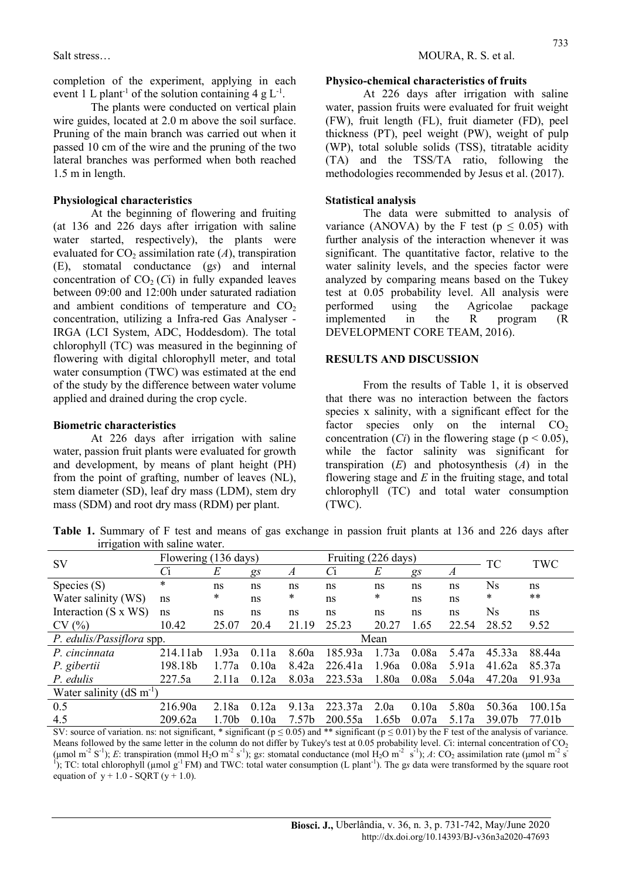Salt stress… MOURA, R. S. et al.

The plants were conducted on vertical plain wire guides, located at 2.0 m above the soil surface. Pruning of the main branch was carried out when it passed 10 cm of the wire and the pruning of the two lateral branches was performed when both reached 1.5 m in length.

#### Physiological characteristics

At the beginning of flowering and fruiting (at 136 and 226 days after irrigation with saline water started, respectively), the plants were evaluated for  $CO_2$  assimilation rate (A), transpiration (E), stomatal conductance (gs) and internal concentration of  $CO<sub>2</sub>(C<sub>i</sub>)$  in fully expanded leaves between 09:00 and 12:00h under saturated radiation and ambient conditions of temperature and  $CO<sub>2</sub>$ concentration, utilizing a Infra-red Gas Analyser - IRGA (LCI System, ADC, Hoddesdom). The total chlorophyll (TC) was measured in the beginning of flowering with digital chlorophyll meter, and total water consumption (TWC) was estimated at the end of the study by the difference between water volume applied and drained during the crop cycle.

#### Biometric characteristics

At 226 days after irrigation with saline water, passion fruit plants were evaluated for growth and development, by means of plant height (PH) from the point of grafting, number of leaves (NL), stem diameter (SD), leaf dry mass (LDM), stem dry mass (SDM) and root dry mass (RDM) per plant.

### Physico-chemical characteristics of fruits

At 226 days after irrigation with saline water, passion fruits were evaluated for fruit weight (FW), fruit length (FL), fruit diameter (FD), peel thickness (PT), peel weight (PW), weight of pulp (WP), total soluble solids (TSS), titratable acidity (TA) and the TSS/TA ratio, following the methodologies recommended by Jesus et al. (2017).

#### Statistical analysis

The data were submitted to analysis of variance (ANOVA) by the F test ( $p \le 0.05$ ) with further analysis of the interaction whenever it was significant. The quantitative factor, relative to the water salinity levels, and the species factor were analyzed by comparing means based on the Tukey test at 0.05 probability level. All analysis were performed using the Agricolae package implemented in the R program (R DEVELOPMENT CORE TEAM, 2016).

### RESULTS AND DISCUSSION

From the results of Table 1, it is observed that there was no interaction between the factors species x salinity, with a significant effect for the factor species only on the internal  $CO<sub>2</sub>$ concentration (*Ci*) in the flowering stage ( $p < 0.05$ ), while the factor salinity was significant for transpiration  $(E)$  and photosynthesis  $(A)$  in the flowering stage and  $E$  in the fruiting stage, and total chlorophyll (TC) and total water consumption (TWC).

Table 1. Summary of F test and means of gas exchange in passion fruit plants at 136 and 226 days after irrigation with saline water.

| SV                                                                                                                                            | Flowering (136 days) |                   |       |                  | Fruiting (226 days) |                   |       |       |        | <b>TWC</b> |
|-----------------------------------------------------------------------------------------------------------------------------------------------|----------------------|-------------------|-------|------------------|---------------------|-------------------|-------|-------|--------|------------|
|                                                                                                                                               | $\overline{C}$ i     | Е                 | gs    | $\boldsymbol{A}$ | Ci                  | E                 | gs    | A     | TC     |            |
| Species (S)                                                                                                                                   | $\ast$               | ns                | ns    | ns               | ns                  | ns                | ns    | ns    | Ns     | ns         |
| Water salinity (WS)                                                                                                                           | ns                   | *                 | ns    | *                | ns                  | *                 | ns    | ns    | *      | $***$      |
| Interaction $(S \times WS)$                                                                                                                   | ns                   | ns                | ns    | ns               | ns                  | ns                | ns    | ns    | Ns     | ns         |
| CV(%)                                                                                                                                         | 10.42                | 25.07             | 20.4  | 21.19            | 25.23               | 20.27             | 1.65  | 22.54 | 28.52  | 9.52       |
| P. edulis/Passiflora spp.<br>Mean                                                                                                             |                      |                   |       |                  |                     |                   |       |       |        |            |
| P. cincinnata                                                                                                                                 | 214.11ab             | 1.93a             | 0.11a | 8.60a            | 185.93a             | 1.73a             | 0.08a | 5.47a | 45.33a | 88.44a     |
| P. gibertii                                                                                                                                   | 198.18b              | 1.77a             | 0.10a | 8.42a            | 226.41a             | 1.96a             | 0.08a | 5.91a | 41.62a | 85.37a     |
| P. edulis                                                                                                                                     | 227.5a               | 2.11a             | 0.12a | 8.03a            | 223.53a             | 1.80a             | 0.08a | 5.04a | 47.20a | 91.93a     |
| Water salinity ( $dS \, m^{-1}$ )                                                                                                             |                      |                   |       |                  |                     |                   |       |       |        |            |
| 0.5                                                                                                                                           | 216.90a              | 2.18a             | 0.12a | 9.13a            | 223.37a             | 2.0a              | 0.10a | 5.80a | 50.36a | 100.15a    |
| 4.5                                                                                                                                           | 209.62a              | 1.70 <sub>b</sub> | 0.10a | 7.57b            | 200.55a             | 1.65 <sub>b</sub> | 0.07a | 5.17a | 39.07b | 77.01b     |
| $\alpha V$ and $\alpha$ is the set of $\alpha$ and $\alpha$ is the set of $\alpha$ and $\alpha$ is the set of $\alpha$ is the set of $\alpha$ |                      |                   |       |                  |                     |                   |       |       |        |            |

SV: source of variation. ns: not significant, \* significant ( $p \le 0.05$ ) and \*\* significant ( $p \le 0.01$ ) by the F test of the analysis of variance. Means followed by the same letter in the column do not differ by Tukey's test at 0.05 probability level. Ci: internal concentration of CO<sub>2</sub> (μmol m<sup>-2</sup> S<sup>-1</sup>); E: transpiration (mmol H<sub>2</sub>O m<sup>-2</sup> s<sup>-1</sup>); gs: stomatal conductance (mol H<sub>2</sub>O m<sup>-2</sup> s<sup>-1</sup>); A: CO<sub>2</sub> assimilation rate (μmol m<sup>-2</sup> s<sup>-</sup> <sup>1</sup>); TC: total chlorophyll (µmol g<sup>-1</sup> FM) and TWC: total water consumption (L plant<sup>-1</sup>). The gs data were transformed by the square root equation of  $y + 1.0 - SQRT(y + 1.0)$ .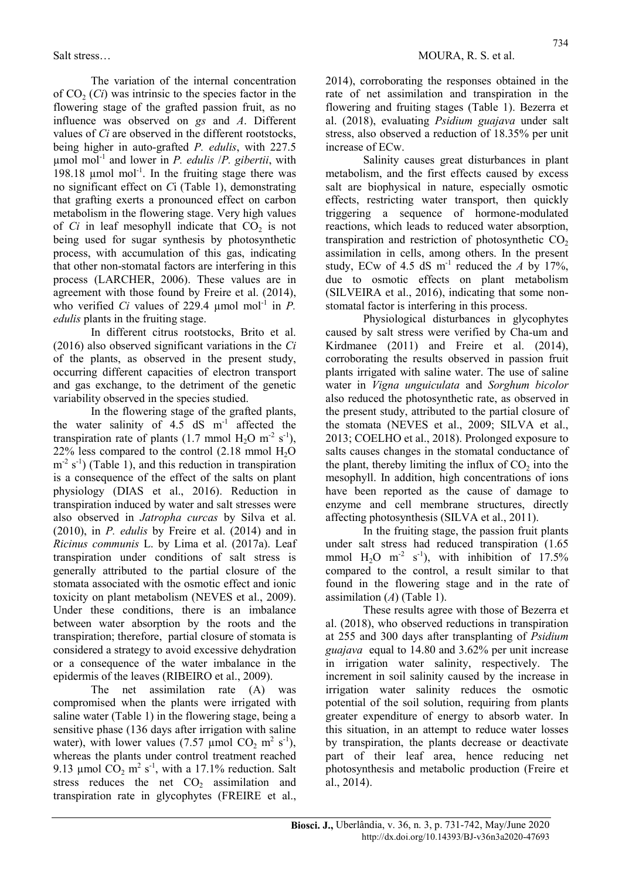Salt stress… MOURA, R. S. et al.

The variation of the internal concentration of  $CO<sub>2</sub>$  (*Ci*) was intrinsic to the species factor in the flowering stage of the grafted passion fruit, as no influence was observed on gs and A. Different values of Ci are observed in the different rootstocks, being higher in auto-grafted P. edulis, with 227.5  $\mu$ mol mol<sup>-1</sup> and lower in *P. edulis /P. gibertii*, with 198.18  $\mu$ mol mol<sup>-1</sup>. In the fruiting stage there was no significant effect on Ci (Table 1), demonstrating that grafting exerts a pronounced effect on carbon metabolism in the flowering stage. Very high values of  $Ci$  in leaf mesophyll indicate that  $CO<sub>2</sub>$  is not being used for sugar synthesis by photosynthetic process, with accumulation of this gas, indicating that other non-stomatal factors are interfering in this process (LARCHER, 2006). These values are in agreement with those found by Freire et al. (2014), who verified Ci values of 229.4  $\mu$ mol mol<sup>-1</sup> in P. edulis plants in the fruiting stage.

In different citrus rootstocks, Brito et al.  $(2016)$  also observed significant variations in the Ci of the plants, as observed in the present study, occurring different capacities of electron transport and gas exchange, to the detriment of the genetic variability observed in the species studied.

In the flowering stage of the grafted plants, the water salinity of  $4.5$  dS m<sup>-1</sup> affected the transpiration rate of plants (1.7 mmol H<sub>2</sub>O m<sup>-2</sup> s<sup>-1</sup>),  $22\%$  less compared to the control  $(2.18 \text{ mmol H}_2\text{O})$  $m^{-2}$  s<sup>-1</sup>) (Table 1), and this reduction in transpiration is a consequence of the effect of the salts on plant physiology (DIAS et al., 2016). Reduction in transpiration induced by water and salt stresses were also observed in Jatropha curcas by Silva et al. (2010), in P. edulis by Freire et al. (2014) and in Ricinus communis L. by Lima et al. (2017a). Leaf transpiration under conditions of salt stress is generally attributed to the partial closure of the stomata associated with the osmotic effect and ionic toxicity on plant metabolism (NEVES et al., 2009). Under these conditions, there is an imbalance between water absorption by the roots and the transpiration; therefore, partial closure of stomata is considered a strategy to avoid excessive dehydration or a consequence of the water imbalance in the epidermis of the leaves (RIBEIRO et al., 2009).

The net assimilation rate (A) was compromised when the plants were irrigated with saline water (Table 1) in the flowering stage, being a sensitive phase (136 days after irrigation with saline water), with lower values (7.57 µmol  $CO_2$  m<sup>2</sup> s<sup>-1</sup>), whereas the plants under control treatment reached 9.13 µmol  $CO_2$  m<sup>2</sup> s<sup>-1</sup>, with a 17.1% reduction. Salt stress reduces the net  $CO<sub>2</sub>$  assimilation and transpiration rate in glycophytes (FREIRE et al.,

2014), corroborating the responses obtained in the rate of net assimilation and transpiration in the flowering and fruiting stages (Table 1). Bezerra et al. (2018), evaluating Psidium guajava under salt stress, also observed a reduction of 18.35% per unit increase of ECw.

Salinity causes great disturbances in plant metabolism, and the first effects caused by excess salt are biophysical in nature, especially osmotic effects, restricting water transport, then quickly triggering a sequence of hormone-modulated reactions, which leads to reduced water absorption, transpiration and restriction of photosynthetic  $CO<sub>2</sub>$ assimilation in cells, among others. In the present study, ECw of 4.5 dS  $m^{-1}$  reduced the A by 17%, due to osmotic effects on plant metabolism (SILVEIRA et al., 2016), indicating that some nonstomatal factor is interfering in this process.

Physiological disturbances in glycophytes caused by salt stress were verified by Cha-um and Kirdmanee (2011) and Freire et al. (2014), corroborating the results observed in passion fruit plants irrigated with saline water. The use of saline water in Vigna unguiculata and Sorghum bicolor also reduced the photosynthetic rate, as observed in the present study, attributed to the partial closure of the stomata (NEVES et al., 2009; SILVA et al., 2013; COELHO et al., 2018). Prolonged exposure to salts causes changes in the stomatal conductance of the plant, thereby limiting the influx of  $CO<sub>2</sub>$  into the mesophyll. In addition, high concentrations of ions have been reported as the cause of damage to enzyme and cell membrane structures, directly affecting photosynthesis (SILVA et al., 2011).

In the fruiting stage, the passion fruit plants under salt stress had reduced transpiration (1.65 mmol  $H_2O$  m<sup>-2</sup> s<sup>-1</sup>), with inhibition of 17.5% compared to the control, a result similar to that found in the flowering stage and in the rate of assimilation  $(A)$  (Table 1).

These results agree with those of Bezerra et al. (2018), who observed reductions in transpiration at 255 and 300 days after transplanting of Psidium guajava equal to 14.80 and 3.62% per unit increase in irrigation water salinity, respectively. The increment in soil salinity caused by the increase in irrigation water salinity reduces the osmotic potential of the soil solution, requiring from plants greater expenditure of energy to absorb water. In this situation, in an attempt to reduce water losses by transpiration, the plants decrease or deactivate part of their leaf area, hence reducing net photosynthesis and metabolic production (Freire et al., 2014).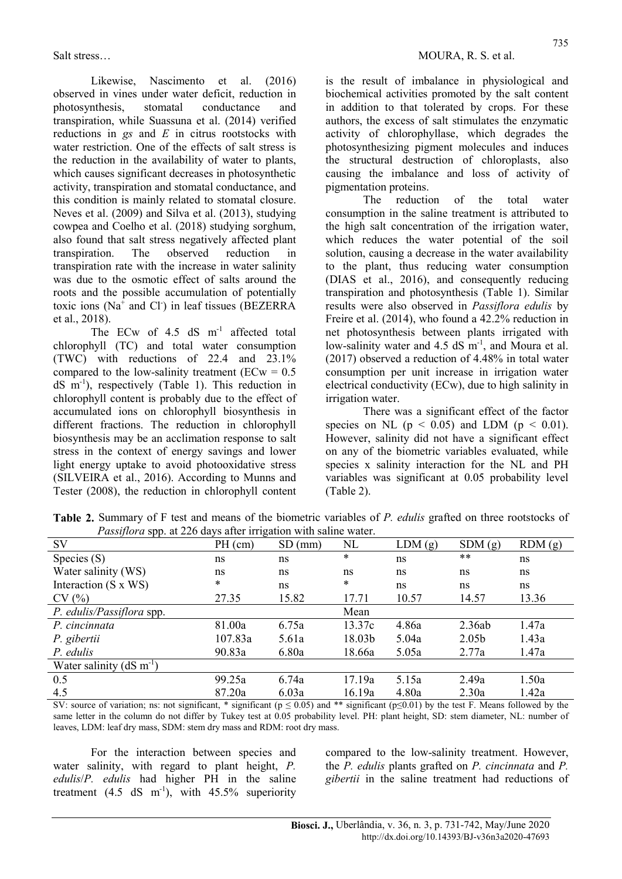Likewise, Nascimento et al. (2016) observed in vines under water deficit, reduction in photosynthesis, stomatal conductance and transpiration, while Suassuna et al. (2014) verified reductions in gs and  $E$  in citrus rootstocks with water restriction. One of the effects of salt stress is the reduction in the availability of water to plants, which causes significant decreases in photosynthetic activity, transpiration and stomatal conductance, and this condition is mainly related to stomatal closure. Neves et al. (2009) and Silva et al. (2013), studying cowpea and Coelho et al. (2018) studying sorghum, also found that salt stress negatively affected plant transpiration. The observed reduction in transpiration rate with the increase in water salinity was due to the osmotic effect of salts around the roots and the possible accumulation of potentially toxic ions ( $Na<sup>+</sup>$  and Cl<sup>-</sup>) in leaf tissues (BEZERRA et al., 2018).

The ECw of  $4.5$  dS m<sup>-1</sup> affected total chlorophyll (TC) and total water consumption (TWC) with reductions of 22.4 and 23.1% compared to the low-salinity treatment ( $ECw = 0.5$ )  $dS$  m<sup>-1</sup>), respectively (Table 1). This reduction in chlorophyll content is probably due to the effect of accumulated ions on chlorophyll biosynthesis in different fractions. The reduction in chlorophyll biosynthesis may be an acclimation response to salt stress in the context of energy savings and lower light energy uptake to avoid photooxidative stress (SILVEIRA et al., 2016). According to Munns and Tester (2008), the reduction in chlorophyll content is the result of imbalance in physiological and biochemical activities promoted by the salt content in addition to that tolerated by crops. For these authors, the excess of salt stimulates the enzymatic activity of chlorophyllase, which degrades the photosynthesizing pigment molecules and induces the structural destruction of chloroplasts, also causing the imbalance and loss of activity of pigmentation proteins.

The reduction of the total water consumption in the saline treatment is attributed to the high salt concentration of the irrigation water, which reduces the water potential of the soil solution, causing a decrease in the water availability to the plant, thus reducing water consumption (DIAS et al., 2016), and consequently reducing transpiration and photosynthesis (Table 1). Similar results were also observed in Passiflora edulis by Freire et al. (2014), who found a 42.2% reduction in net photosynthesis between plants irrigated with low-salinity water and 4.5 dS m<sup>-1</sup>, and Moura et al. (2017) observed a reduction of 4.48% in total water consumption per unit increase in irrigation water electrical conductivity (ECw), due to high salinity in irrigation water.

There was a significant effect of the factor species on NL ( $p < 0.05$ ) and LDM ( $p < 0.01$ ). However, salinity did not have a significant effect on any of the biometric variables evaluated, while species x salinity interaction for the NL and PH variables was significant at 0.05 probability level (Table 2).

| $\frac{1}{2}$ assembly the special contract $\frac{1}{2}$ and $\frac{1}{2}$ are $\frac{1}{2}$ and $\frac{1}{2}$ are $\frac{1}{2}$ and $\frac{1}{2}$ are $\frac{1}{2}$ and $\frac{1}{2}$ are $\frac{1}{2}$ and $\frac{1}{2}$ are $\frac{1}{2}$ and $\frac{1}{2}$ are $\frac{1}{2}$ and |           |                   |        |        |                   |        |  |  |  |
|---------------------------------------------------------------------------------------------------------------------------------------------------------------------------------------------------------------------------------------------------------------------------------------|-----------|-------------------|--------|--------|-------------------|--------|--|--|--|
| <b>SV</b>                                                                                                                                                                                                                                                                             | $PH$ (cm) | <b>SD</b><br>(mm) | NL     | LDM(g) | SDM(g)            | RDM(g) |  |  |  |
| Species (S)                                                                                                                                                                                                                                                                           | ns        | ns                | $\ast$ | ns     | $***$             | ns     |  |  |  |
| Water salinity (WS)                                                                                                                                                                                                                                                                   | ns        | ns                | ns     | ns     | ns                | ns     |  |  |  |
| Interaction (S x WS)                                                                                                                                                                                                                                                                  | *         | ns                | *      | ns     | ns                | ns     |  |  |  |
| CV(%)                                                                                                                                                                                                                                                                                 | 27.35     | 15.82             | 17.71  | 10.57  | 14.57             | 13.36  |  |  |  |
| P. edulis/Passiflora spp.                                                                                                                                                                                                                                                             |           |                   | Mean   |        |                   |        |  |  |  |
| P. cincinnata                                                                                                                                                                                                                                                                         | 81.00a    | 6.75a             | 13.37c | 4.86a  | 2.36ab            | 1.47a  |  |  |  |
| P. gibertii                                                                                                                                                                                                                                                                           | 107.83a   | 5.61a             | 18.03b | 5.04a  | 2.05 <sub>b</sub> | 1.43a  |  |  |  |
| P. edulis                                                                                                                                                                                                                                                                             | 90.83a    | 6.80a             | 18.66a | 5.05a  | 2.77a             | 1.47a  |  |  |  |
| Water salinity $(dS m^{-1})$                                                                                                                                                                                                                                                          |           |                   |        |        |                   |        |  |  |  |
| 0.5                                                                                                                                                                                                                                                                                   | 99.25a    | 6.74a             | 17.19a | 5.15a  | 2.49a             | 1.50a  |  |  |  |
| 4.5                                                                                                                                                                                                                                                                                   | 87.20a    | 6.03a             | 16.19a | 4.80a  | 2.30a             | 1.42a  |  |  |  |
| $\mathcal{E}U_1$ course of variations not not cionificant $*$ cionificant ( $a < 0.05$ ) and $**$ cionificant ( $a < 0.01$ ) by the test $E$ . Moone followed by the                                                                                                                  |           |                   |        |        |                   |        |  |  |  |

Table 2. Summary of F test and means of the biometric variables of P. edulis grafted on three rootstocks of Passiflora spp. at 226 days after irrigation with saline water.

SV: source of variation; ns: not significant, \* significant ( $p \le 0.05$ ) and \*\* significant ( $p \le 0.01$ ) by the test F. Means followed by the same letter in the column do not differ by Tukey test at 0.05 probability level. PH: plant height, SD: stem diameter, NL: number of leaves, LDM: leaf dry mass, SDM: stem dry mass and RDM: root dry mass.

For the interaction between species and water salinity, with regard to plant height, P.  $edulis/P$ . *edulis* had higher  $\overrightarrow{PH}$  in the saline treatment  $(4.5 \text{ dS} \text{ m}^{\text{-1}})$ , with  $45.5\%$  superiority compared to the low-salinity treatment. However, the P. edulis plants grafted on P. cincinnata and P. gibertii in the saline treatment had reductions of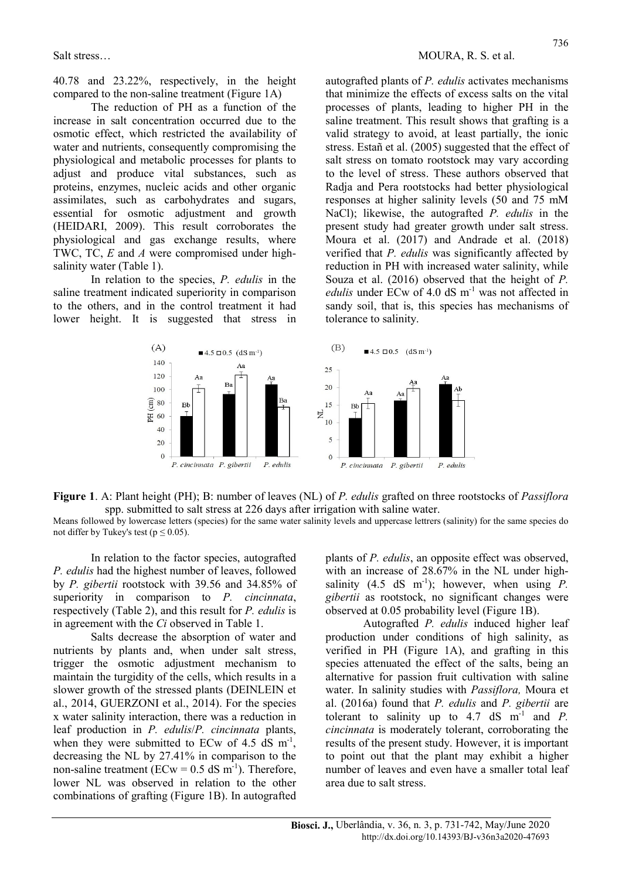40.78 and 23.22%, respectively, in the height compared to the non-saline treatment (Figure 1A)

The reduction of PH as a function of the increase in salt concentration occurred due to the osmotic effect, which restricted the availability of water and nutrients, consequently compromising the physiological and metabolic processes for plants to adjust and produce vital substances, such as proteins, enzymes, nucleic acids and other organic assimilates, such as carbohydrates and sugars, essential for osmotic adjustment and growth (HEIDARI, 2009). This result corroborates the physiological and gas exchange results, where TWC, TC, E and A were compromised under highsalinity water (Table 1).

In relation to the species, P. edulis in the saline treatment indicated superiority in comparison to the others, and in the control treatment it had lower height. It is suggested that stress in autografted plants of P. edulis activates mechanisms that minimize the effects of excess salts on the vital processes of plants, leading to higher PH in the saline treatment. This result shows that grafting is a valid strategy to avoid, at least partially, the ionic stress. Estañ et al. (2005) suggested that the effect of salt stress on tomato rootstock may vary according to the level of stress. These authors observed that Radja and Pera rootstocks had better physiological responses at higher salinity levels (50 and 75 mM NaCl); likewise, the autografted P. edulis in the present study had greater growth under salt stress. Moura et al. (2017) and Andrade et al. (2018) verified that P. edulis was significantly affected by reduction in PH with increased water salinity, while Souza et al. (2016) observed that the height of P. edulis under ECw of 4.0 dS m<sup>-1</sup> was not affected in sandy soil, that is, this species has mechanisms of tolerance to salinity.





Means followed by lowercase letters (species) for the same water salinity levels and uppercase lettrers (salinity) for the same species do not differ by Tukey's test ( $p \le 0.05$ ).

In relation to the factor species, autografted P. edulis had the highest number of leaves, followed by P. gibertii rootstock with 39.56 and 34.85% of superiority in comparison to P. cincinnata, respectively (Table 2), and this result for P. edulis is in agreement with the  $Ci$  observed in Table 1.

Salts decrease the absorption of water and nutrients by plants and, when under salt stress, trigger the osmotic adjustment mechanism to maintain the turgidity of the cells, which results in a slower growth of the stressed plants (DEINLEIN et al., 2014, GUERZONI et al., 2014). For the species x water salinity interaction, there was a reduction in leaf production in P. edulis/P. cincinnata plants, when they were submitted to ECw of 4.5 dS  $m^{-1}$ , decreasing the NL by 27.41% in comparison to the non-saline treatment ( $ECw = 0.5$  dS m<sup>-1</sup>). Therefore, lower NL was observed in relation to the other combinations of grafting (Figure 1B). In autografted

plants of P. edulis, an opposite effect was observed, with an increase of 28.67% in the NL under highsalinity (4.5 dS m<sup>-1</sup>); however, when using  $P$ . gibertii as rootstock, no significant changes were observed at 0.05 probability level (Figure 1B).

Autografted P. edulis induced higher leaf production under conditions of high salinity, as verified in PH (Figure 1A), and grafting in this species attenuated the effect of the salts, being an alternative for passion fruit cultivation with saline water. In salinity studies with Passiflora, Moura et al. (2016a) found that P. edulis and P. gibertii are tolerant to salinity up to  $4.7$  dS m<sup>-1</sup> and *P*. cincinnata is moderately tolerant, corroborating the results of the present study. However, it is important to point out that the plant may exhibit a higher number of leaves and even have a smaller total leaf area due to salt stress.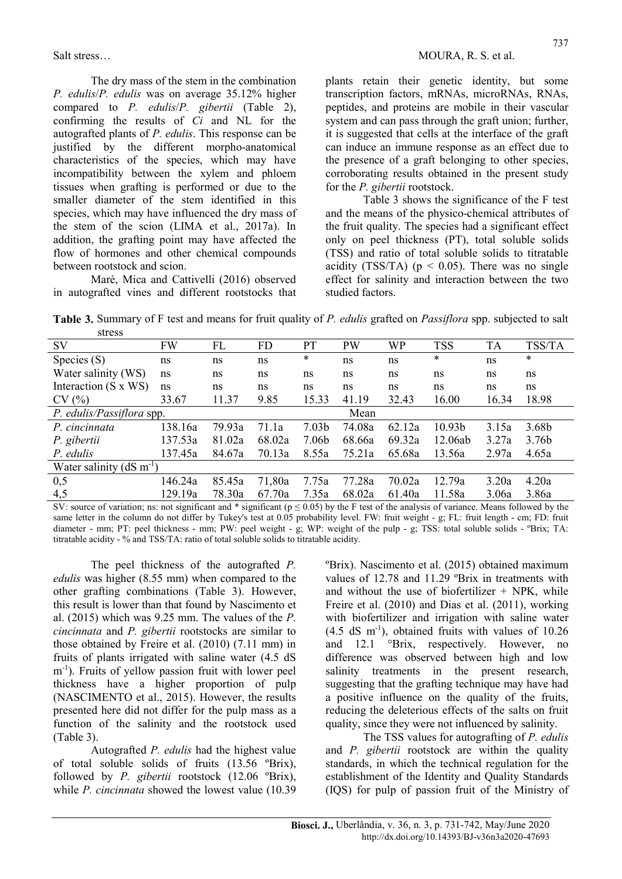The dry mass of the stem in the combination P. edulis/P. edulis was on average 35.12% higher compared to P. edulis/P. gibertii (Table 2), confirming the results of Ci and NL for the autografted plants of P. edulis. This response can be justified by the different morpho-anatomical characteristics of the species, which may have incompatibility between the xylem and phloem tissues when grafting is performed or due to the smaller diameter of the stem identified in this species, which may have influenced the dry mass of the stem of the scion (LIMA et al., 2017a). In addition, the grafting point may have affected the flow of hormones and other chemical compounds between rootstock and scion.

Marè, Mica and Cattivelli (2016) observed in autografted vines and different rootstocks that plants retain their genetic identity, but some transcription factors, mRNAs, microRNAs, RNAs, peptides, and proteins are mobile in their vascular system and can pass through the graft union; further, it is suggested that cells at the interface of the graft can induce an immune response as an effect due to the presence of a graft belonging to other species, corroborating results obtained in the present study for the P. gibertii rootstock.

Table 3 shows the significance of the F test and the means of the physico-chemical attributes of the fruit quality. The species had a significant effect only on peel thickness (PT), total soluble solids (TSS) and ratio of total soluble solids to titratable acidity (TSS/TA) ( $p < 0.05$ ). There was no single effect for salinity and interaction between the two studied factors.

Table 3. Summary of F test and means for fruit quality of P. edulis grafted on Passiflora spp. subjected to salt stress

| sucss                             |         |        |           |                   |        |        |                    |           |                   |  |
|-----------------------------------|---------|--------|-----------|-------------------|--------|--------|--------------------|-----------|-------------------|--|
| SV                                | FW      | FL     | <b>FD</b> | PT                | PW     | WP     | <b>TSS</b>         | <b>TA</b> | TSS/TA            |  |
| Species (S)                       | ns      | ns     | ns        | *                 | ns     | ns     | *                  | ns        | $\ast$            |  |
| Water salinity (WS)               | ns      | ns     | ns        | ns                | ns     | ns     | ns                 | ns        | ns                |  |
| Interaction $(S \times WS)$       | ns      | ns     | ns        | ns                | ns     | ns     | ns                 | ns        | ns                |  |
| CV(%)                             | 33.67   | 11.37  | 9.85      | 15.33             | 41.19  | 32.43  | 16.00              | 16.34     | 18.98             |  |
| P. edulis/Passiflora spp.<br>Mean |         |        |           |                   |        |        |                    |           |                   |  |
| P. cincinnata                     | 138.16a | 79.93a | 71.1a     | 7.03 <sub>b</sub> | 74.08a | 62.12a | 10.93 <sub>b</sub> | 3.15a     | 3.68 <sub>b</sub> |  |
| P. gibertii                       | 137.53a | 81.02a | 68.02a    | 7.06b             | 68.66a | 69.32a | 12.06ab            | 3.27a     | 3.76 <sub>b</sub> |  |
| P. edulis                         | 137.45a | 84.67a | 70.13a    | 8.55a             | 75.21a | 65.68a | 13.56a             | 2.97a     | 4.65a             |  |
| Water salinity ( $dS \, m^{-1}$ ) |         |        |           |                   |        |        |                    |           |                   |  |
| 0,5                               | 146.24a | 85.45a | 71,80a    | 7.75a             | 77.28a | 70.02a | 12.79a             | 3.20a     | 4.20a             |  |
| 4,5                               | 129.19a | 78.30a | 67.70a    | 7.35a             | 68.02a | 61.40a | 11.58a             | 3.06a     | 3.86a             |  |
| $\sim$ $\sim$ $\sim$              |         |        |           |                   |        |        |                    |           |                   |  |

SV: source of variation; ns: not significant and  $*$  significant ( $p \le 0.05$ ) by the F test of the analysis of variance. Means followed by the same letter in the column do not differ by Tukey's test at 0.05 probability level. FW: fruit weight - g; FL: fruit length - cm; FD: fruit diameter - mm; PT: peel thickness - mm; PW: peel weight - g; WP: weight of the pulp - g; TSS: total soluble solids - ºBrix; TA: titratable acidity - % and TSS/TA: ratio of total soluble solids to titratable acidity.

The peel thickness of the autografted P. edulis was higher (8.55 mm) when compared to the other grafting combinations (Table 3). However, this result is lower than that found by Nascimento et al.  $(2015)$  which was 9.25 mm. The values of the P. cincinnata and P. gibertii rootstocks are similar to those obtained by Freire et al. (2010) (7.11 mm) in fruits of plants irrigated with saline water (4.5 dS m<sup>-1</sup>). Fruits of yellow passion fruit with lower peel thickness have a higher proportion of pulp (NASCIMENTO et al., 2015). However, the results presented here did not differ for the pulp mass as a function of the salinity and the rootstock used (Table 3).

Autografted P. edulis had the highest value of total soluble solids of fruits (13.56 ºBrix), followed by P. gibertii rootstock  $(12.06 \text{ }^{\circ}B$ rix), while *P. cincinnata* showed the lowest value (10.39)

ºBrix). Nascimento et al. (2015) obtained maximum values of 12.78 and 11.29 ºBrix in treatments with and without the use of biofertilizer  $+$  NPK, while Freire et al. (2010) and Dias et al. (2011), working with biofertilizer and irrigation with saline water  $(4.5$  dS m<sup>-1</sup>), obtained fruits with values of 10.26 and 12.1 °Brix, respectively. However, no difference was observed between high and low salinity treatments in the present research, suggesting that the grafting technique may have had a positive influence on the quality of the fruits, reducing the deleterious effects of the salts on fruit quality, since they were not influenced by salinity.

The TSS values for autografting of P. edulis and P. gibertii rootstock are within the quality standards, in which the technical regulation for the establishment of the Identity and Quality Standards (IQS) for pulp of passion fruit of the Ministry of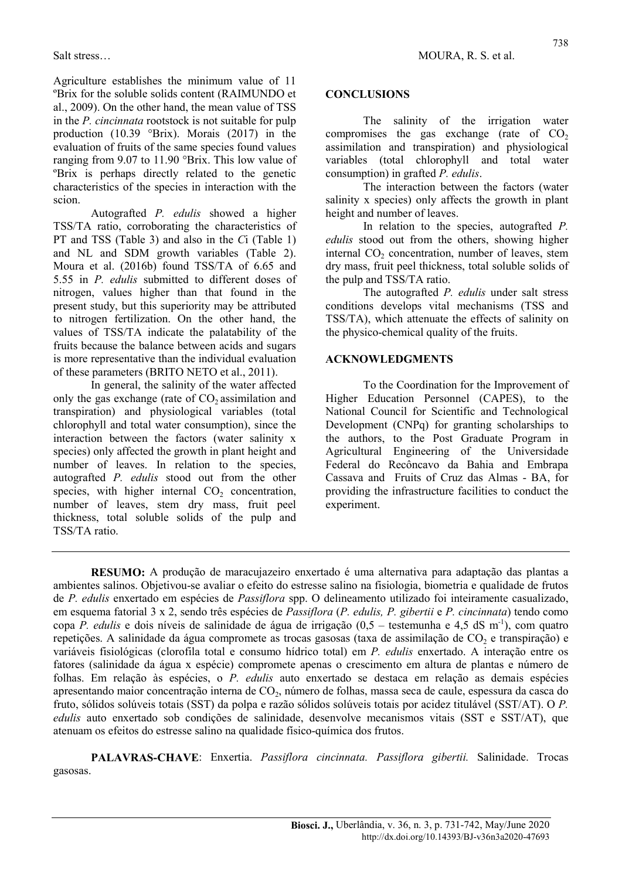Agriculture establishes the minimum value of 11 ºBrix for the soluble solids content (RAIMUNDO et al., 2009). On the other hand, the mean value of TSS in the P. cincinnata rootstock is not suitable for pulp production (10.39 °Brix). Morais (2017) in the evaluation of fruits of the same species found values ranging from 9.07 to 11.90 °Brix. This low value of ºBrix is perhaps directly related to the genetic characteristics of the species in interaction with the scion.

Autografted P. edulis showed a higher TSS/TA ratio, corroborating the characteristics of PT and TSS (Table 3) and also in the Ci (Table 1) and NL and SDM growth variables (Table 2). Moura et al. (2016b) found TSS/TA of 6.65 and 5.55 in P. edulis submitted to different doses of nitrogen, values higher than that found in the present study, but this superiority may be attributed to nitrogen fertilization. On the other hand, the values of TSS/TA indicate the palatability of the fruits because the balance between acids and sugars is more representative than the individual evaluation of these parameters (BRITO NETO et al., 2011).

In general, the salinity of the water affected only the gas exchange (rate of  $CO<sub>2</sub>$  assimilation and transpiration) and physiological variables (total chlorophyll and total water consumption), since the interaction between the factors (water salinity x species) only affected the growth in plant height and number of leaves. In relation to the species, autografted P. edulis stood out from the other species, with higher internal  $CO<sub>2</sub>$  concentration, number of leaves, stem dry mass, fruit peel thickness, total soluble solids of the pulp and TSS/TA ratio.

### **CONCLUSIONS**

The salinity of the irrigation water compromises the gas exchange (rate of  $CO<sub>2</sub>$ ) assimilation and transpiration) and physiological variables (total chlorophyll and total water consumption) in grafted P. edulis.

The interaction between the factors (water salinity x species) only affects the growth in plant height and number of leaves.

In relation to the species, autografted P. edulis stood out from the others, showing higher internal  $CO<sub>2</sub>$  concentration, number of leaves, stem dry mass, fruit peel thickness, total soluble solids of the pulp and TSS/TA ratio.

The autografted P. edulis under salt stress conditions develops vital mechanisms (TSS and TSS/TA), which attenuate the effects of salinity on the physico-chemical quality of the fruits.

#### ACKNOWLEDGMENTS

To the Coordination for the Improvement of Higher Education Personnel (CAPES), to the National Council for Scientific and Technological Development (CNPq) for granting scholarships to the authors, to the Post Graduate Program in Agricultural Engineering of the Universidade Federal do Recôncavo da Bahia and Embrapa Cassava and Fruits of Cruz das Almas - BA, for providing the infrastructure facilities to conduct the experiment.

RESUMO: A produção de maracujazeiro enxertado é uma alternativa para adaptação das plantas a ambientes salinos. Objetivou-se avaliar o efeito do estresse salino na fisiologia, biometria e qualidade de frutos de P. edulis enxertado em espécies de Passiflora spp. O delineamento utilizado foi inteiramente casualizado, em esquema fatorial 3 x 2, sendo três espécies de Passiflora (P. edulis, P. gibertii e P. cincinnata) tendo como copa P. edulis e dois níveis de salinidade de água de irrigação  $(0,5 - \text{testemunha e } 4,5 \text{ dS } \text{m}^{-1})$ , com quatro repetições. A salinidade da água compromete as trocas gasosas (taxa de assimilação de  $CO_2$  e transpiração) e variáveis fisiológicas (clorofila total e consumo hídrico total) em P. edulis enxertado. A interação entre os fatores (salinidade da água x espécie) compromete apenas o crescimento em altura de plantas e número de folhas. Em relação às espécies, o P. edulis auto enxertado se destaca em relação as demais espécies apresentando maior concentração interna de CO<sub>2</sub>, número de folhas, massa seca de caule, espessura da casca do fruto, sólidos solúveis totais (SST) da polpa e razão sólidos solúveis totais por acidez titulável (SST/AT). O P. edulis auto enxertado sob condições de salinidade, desenvolve mecanismos vitais (SST e SST/AT), que atenuam os efeitos do estresse salino na qualidade físico-química dos frutos.

PALAVRAS-CHAVE: Enxertia. Passiflora cincinnata. Passiflora gibertii. Salinidade. Trocas gasosas.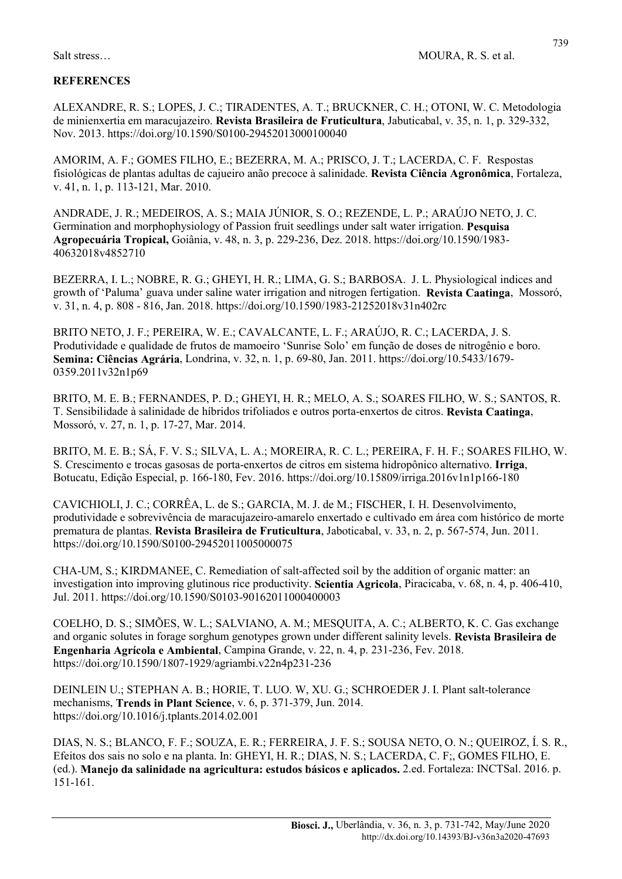## **REFERENCES**

ALEXANDRE, R. S.; LOPES, J. C.; TIRADENTES, A. T.; BRUCKNER, C. H.; OTONI, W. C. Metodologia de minienxertia em maracujazeiro. Revista Brasileira de Fruticultura, Jabuticabal, v. 35, n. 1, p. 329-332, Nov. 2013. https://doi.org/10.1590/S0100-29452013000100040

AMORIM, A. F.; GOMES FILHO, E.; BEZERRA, M. A.; PRISCO, J. T.; LACERDA, C. F. Respostas fisiológicas de plantas adultas de cajueiro anão precoce à salinidade. Revista Ciência Agronômica, Fortaleza, v. 41, n. 1, p. 113-121, Mar. 2010.

ANDRADE, J. R.; MEDEIROS, A. S.; MAIA JÚNIOR, S. O.; REZENDE, L. P.; ARAÚJO NETO, J. C. Germination and morphophysiology of Passion fruit seedlings under salt water irrigation. Pesquisa Agropecuária Tropical, Goiânia, v. 48, n. 3, p. 229-236, Dez. 2018. https://doi.org/10.1590/1983- 40632018v4852710

BEZERRA, I. L.; NOBRE, R. G.; GHEYI, H. R.; LIMA, G. S.; BARBOSA. J. L. Physiological indices and growth of 'Paluma' guava under saline water irrigation and nitrogen fertigation. Revista Caatinga, Mossoró, v. 31, n. 4, p. 808 - 816, Jan. 2018. https://doi.org/10.1590/1983-21252018v31n402rc

BRITO NETO, J. F.; PEREIRA, W. E.; CAVALCANTE, L. F.; ARAÚJO, R. C.; LACERDA, J. S. Produtividade e qualidade de frutos de mamoeiro 'Sunrise Solo' em função de doses de nitrogênio e boro. Semina: Ciências Agrária, Londrina, v. 32, n. 1, p. 69-80, Jan. 2011. https://doi.org/10.5433/1679- 0359.2011v32n1p69

BRITO, M. E. B.; FERNANDES, P. D.; GHEYI, H. R.; MELO, A. S.; SOARES FILHO, W. S.; SANTOS, R. T. Sensibilidade à salinidade de híbridos trifoliados e outros porta-enxertos de citros. Revista Caatinga, Mossoró, v. 27, n. 1, p. 17-27, Mar. 2014.

BRITO, M. E. B.; SÁ, F. V. S.; SILVA, L. A.; MOREIRA, R. C. L.; PEREIRA, F. H. F.; SOARES FILHO, W. S. Crescimento e trocas gasosas de porta-enxertos de citros em sistema hidropônico alternativo. Irriga, Botucatu, Edição Especial, p. 166-180, Fev. 2016. https://doi.org/10.15809/irriga.2016v1n1p166-180

CAVICHIOLI, J. C.; CORRÊA, L. de S.; GARCIA, M. J. de M.; FISCHER, I. H. Desenvolvimento, produtividade e sobrevivência de maracujazeiro-amarelo enxertado e cultivado em área com histórico de morte prematura de plantas. Revista Brasileira de Fruticultura, Jaboticabal, v. 33, n. 2, p. 567-574, Jun. 2011. https://doi.org/10.1590/S0100-29452011005000075

CHA-UM, S.; KIRDMANEE, C. Remediation of salt-affected soil by the addition of organic matter: an investigation into improving glutinous rice productivity. Scientia Agricola, Piracicaba, v. 68, n. 4, p. 406-410, Jul. 2011. https://doi.org/10.1590/S0103-90162011000400003

COELHO, D. S.; SIMÕES, W. L.; SALVIANO, A. M.; MESQUITA, A. C.; ALBERTO, K. C. Gas exchange and organic solutes in forage sorghum genotypes grown under different salinity levels. Revista Brasileira de Engenharia Agrícola e Ambiental, Campina Grande, v. 22, n. 4, p. 231-236, Fev. 2018. https://doi.org/10.1590/1807-1929/agriambi.v22n4p231-236

DEINLEIN U.; STEPHAN A. B.; HORIE, T. LUO. W, XU. G.; SCHROEDER J. I. Plant salt-tolerance mechanisms, Trends in Plant Science, v. 6, p. 371-379, Jun. 2014. https://doi.org/10.1016/j.tplants.2014.02.001

DIAS, N. S.; BLANCO, F. F.; SOUZA, E. R.; FERREIRA, J. F. S.; SOUSA NETO, O. N.; QUEIROZ, Í. S. R., Efeitos dos sais no solo e na planta. In: GHEYI, H. R.; DIAS, N. S.; LACERDA, C. F;, GOMES FILHO, E. (ed.). Manejo da salinidade na agricultura: estudos básicos e aplicados. 2.ed. Fortaleza: INCTSal. 2016. p. 151-161.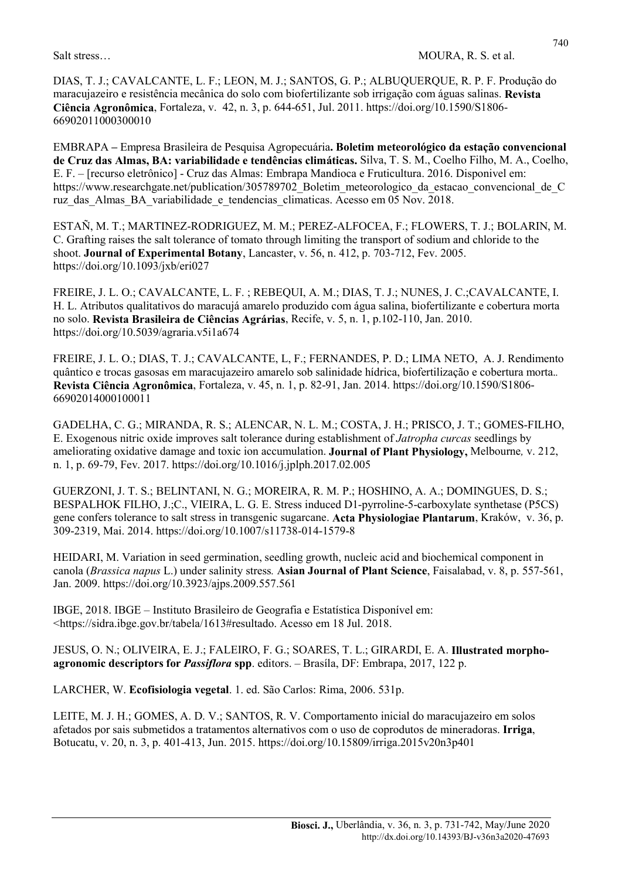DIAS, T. J.; CAVALCANTE, L. F.; LEON, M. J.; SANTOS, G. P.; ALBUQUERQUE, R. P. F. Produção do maracujazeiro e resistência mecânica do solo com biofertilizante sob irrigação com águas salinas. Revista Ciência Agronômica, Fortaleza, v. 42, n. 3, p. 644-651, Jul. 2011. https://doi.org/10.1590/S1806- 66902011000300010

EMBRAPA – Empresa Brasileira de Pesquisa Agropecuária. Boletim meteorológico da estação convencional de Cruz das Almas, BA: variabilidade e tendências climáticas. Silva, T. S. M., Coelho Filho, M. A., Coelho, E. F. – [recurso eletrônico] - Cruz das Almas: Embrapa Mandioca e Fruticultura. 2016. Disponivel em: https://www.researchgate.net/publication/305789702\_Boletim\_meteorologico\_da\_estacao\_convencional\_de\_C ruz\_das\_Almas\_BA\_variabilidade\_e\_tendencias\_climaticas. Acesso em 05 Nov. 2018.

ESTAÑ, M. T.; MARTINEZ-RODRIGUEZ, M. M.; PEREZ-ALFOCEA, F.; FLOWERS, T. J.; BOLARIN, M. C. Grafting raises the salt tolerance of tomato through limiting the transport of sodium and chloride to the shoot. Journal of Experimental Botany, Lancaster, v. 56, n. 412, p. 703-712, Fev. 2005. https://doi.org/10.1093/jxb/eri027

FREIRE, J. L. O.; CAVALCANTE, L. F. ; REBEQUI, A. M.; DIAS, T. J.; NUNES, J. C.;CAVALCANTE, I. H. L. Atributos qualitativos do maracujá amarelo produzido com água salina, biofertilizante e cobertura morta no solo. Revista Brasileira de Ciências Agrárias, Recife, v. 5, n. 1, p.102-110, Jan. 2010. https://doi.org/10.5039/agraria.v5i1a674

FREIRE, J. L. O.; DIAS, T. J.; CAVALCANTE, L, F.; FERNANDES, P. D.; LIMA NETO, A. J. Rendimento quântico e trocas gasosas em maracujazeiro amarelo sob salinidade hídrica, biofertilização e cobertura morta.. Revista Ciência Agronômica, Fortaleza, v. 45, n. 1, p. 82-91, Jan. 2014. https://doi.org/10.1590/S1806- 66902014000100011

GADELHA, C. G.; MIRANDA, R. S.; ALENCAR, N. L. M.; COSTA, J. H.; PRISCO, J. T.; GOMES-FILHO, E. Exogenous nitric oxide improves salt tolerance during establishment of Jatropha curcas seedlings by ameliorating oxidative damage and toxic ion accumulation. Journal of Plant Physiology, Melbourne, v. 212, n. 1, p. 69-79, Fev. 2017. https://doi.org/10.1016/j.jplph.2017.02.005

GUERZONI, J. T. S.; BELINTANI, N. G.; MOREIRA, R. M. P.; HOSHINO, A. A.; DOMINGUES, D. S.; BESPALHOK FILHO, J.;C., VIEIRA, L. G. E. Stress induced D1-pyrroline-5-carboxylate synthetase (P5CS) gene confers tolerance to salt stress in transgenic sugarcane. Acta Physiologiae Plantarum, Kraków, v. 36, p. 309-2319, Mai. 2014. https://doi.org/10.1007/s11738-014-1579-8

HEIDARI, M. Variation in seed germination, seedling growth, nucleic acid and biochemical component in canola (Brassica napus L.) under salinity stress. Asian Journal of Plant Science, Faisalabad, v. 8, p. 557-561, Jan. 2009. https://doi.org/10.3923/ajps.2009.557.561

IBGE, 2018. IBGE – Instituto Brasileiro de Geografia e Estatística Disponível em: <https://sidra.ibge.gov.br/tabela/1613#resultado. Acesso em 18 Jul. 2018.

JESUS, O. N.; OLIVEIRA, E. J.; FALEIRO, F. G.; SOARES, T. L.; GIRARDI, E. A. Illustrated morphoagronomic descriptors for Passiflora spp. editors. – Brasíla, DF: Embrapa, 2017, 122 p.

LARCHER, W. Ecofisiologia vegetal. 1. ed. São Carlos: Rima, 2006. 531p.

LEITE, M. J. H.; GOMES, A. D. V.; SANTOS, R. V. Comportamento inicial do maracujazeiro em solos afetados por sais submetidos a tratamentos alternativos com o uso de coprodutos de mineradoras. Irriga, Botucatu, v. 20, n. 3, p. 401-413, Jun. 2015. https://doi.org/10.15809/irriga.2015v20n3p401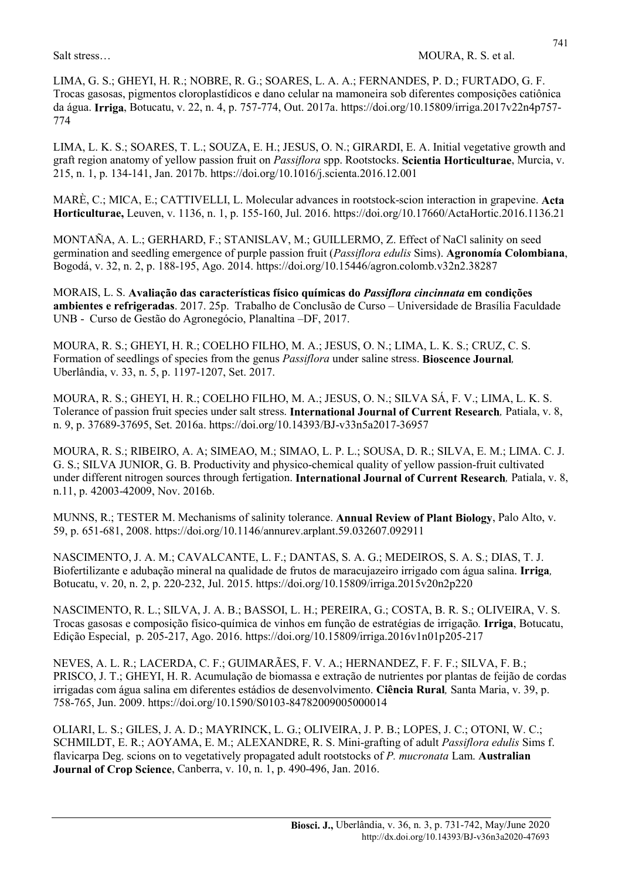LIMA, G. S.; GHEYI, H. R.; NOBRE, R. G.; SOARES, L. A. A.; FERNANDES, P. D.; FURTADO, G. F. Trocas gasosas, pigmentos cloroplastídicos e dano celular na mamoneira sob diferentes composições catiônica da água. Irriga, Botucatu, v. 22, n. 4, p. 757-774, Out. 2017a. https://doi.org/10.15809/irriga.2017v22n4p757- 774

LIMA, L. K. S.; SOARES, T. L.; SOUZA, E. H.; JESUS, O. N.; GIRARDI, E. A. Initial vegetative growth and graft region anatomy of yellow passion fruit on *Passiflora* spp. Rootstocks. Scientia Horticulturae, Murcia, v. 215, n. 1, p. 134-141, Jan. 2017b. https://doi.org/10.1016/j.scienta.2016.12.001

MARÈ, C.; MICA, E.; CATTIVELLI, L. Molecular advances in rootstock-scion interaction in grapevine. Acta Horticulturae, Leuven, v. 1136, n. 1, p. 155-160, Jul. 2016. https://doi.org/10.17660/ActaHortic.2016.1136.21

MONTAÑA, A. L.; GERHARD, F.; STANISLAV, M.; GUILLERMO, Z. Effect of NaCl salinity on seed germination and seedling emergence of purple passion fruit (Passiflora edulis Sims). Agronomía Colombiana, Bogodá, v. 32, n. 2, p. 188-195, Ago. 2014. https://doi.org/10.15446/agron.colomb.v32n2.38287

MORAIS, L. S. Avaliação das características físico químicas do Passiflora cincinnata em condições ambientes e refrigeradas. 2017. 25p. Trabalho de Conclusão de Curso – Universidade de Brasília Faculdade UNB - Curso de Gestão do Agronegócio, Planaltina –DF, 2017.

MOURA, R. S.; GHEYI, H. R.; COELHO FILHO, M. A.; JESUS, O. N.; LIMA, L. K. S.; CRUZ, C. S. Formation of seedlings of species from the genus *Passiflora* under saline stress. **Bioscence Journal**, Uberlândia, v. 33, n. 5, p. 1197-1207, Set. 2017.

MOURA, R. S.; GHEYI, H. R.; COELHO FILHO, M. A.; JESUS, O. N.; SILVA SÁ, F. V.; LIMA, L. K. S. Tolerance of passion fruit species under salt stress. International Journal of Current Research, Patiala, v. 8, n. 9, p. 37689-37695, Set. 2016a. https://doi.org/10.14393/BJ-v33n5a2017-36957

MOURA, R. S.; RIBEIRO, A. A; SIMEAO, M.; SIMAO, L. P. L.; SOUSA, D. R.; SILVA, E. M.; LIMA. C. J. G. S.; SILVA JUNIOR, G. B. Productivity and physico-chemical quality of yellow passion-fruit cultivated under different nitrogen sources through fertigation. International Journal of Current Research, Patiala, v. 8, n.11, p. 42003-42009, Nov. 2016b.

MUNNS, R.; TESTER M. Mechanisms of salinity tolerance. Annual Review of Plant Biology, Palo Alto, v. 59, p. 651-681, 2008. https://doi.org/10.1146/annurev.arplant.59.032607.092911

NASCIMENTO, J. A. M.; CAVALCANTE, L. F.; DANTAS, S. A. G.; MEDEIROS, S. A. S.; DIAS, T. J. Biofertilizante e adubação mineral na qualidade de frutos de maracujazeiro irrigado com água salina. Irriga, Botucatu, v. 20, n. 2, p. 220-232, Jul. 2015. https://doi.org/10.15809/irriga.2015v20n2p220

NASCIMENTO, R. L.; SILVA, J. A. B.; BASSOI, L. H.; PEREIRA, G.; COSTA, B. R. S.; OLIVEIRA, V. S. Trocas gasosas e composição físico-química de vinhos em função de estratégias de irrigação. Irriga, Botucatu, Edição Especial, p. 205-217, Ago. 2016. https://doi.org/10.15809/irriga.2016v1n01p205-217

NEVES, A. L. R.; LACERDA, C. F.; GUIMARÃES, F. V. A.; HERNANDEZ, F. F. F.; SILVA, F. B.; PRISCO, J. T.; GHEYI, H. R. Acumulação de biomassa e extração de nutrientes por plantas de feijão de cordas irrigadas com água salina em diferentes estádios de desenvolvimento. Ciência Rural, Santa Maria, v. 39, p. 758-765, Jun. 2009. https://doi.org/10.1590/S0103-84782009005000014

OLIARI, L. S.; GILES, J. A. D.; MAYRINCK, L. G.; OLIVEIRA, J. P. B.; LOPES, J. C.; OTONI, W. C.; SCHMILDT, E. R.; AOYAMA, E. M.; ALEXANDRE, R. S. Mini-grafting of adult *Passiflora edulis* Sims f. flavicarpa Deg. scions on to vegetatively propagated adult rootstocks of P. mucronata Lam. Australian Journal of Crop Science, Canberra, v. 10, n. 1, p. 490-496, Jan. 2016.